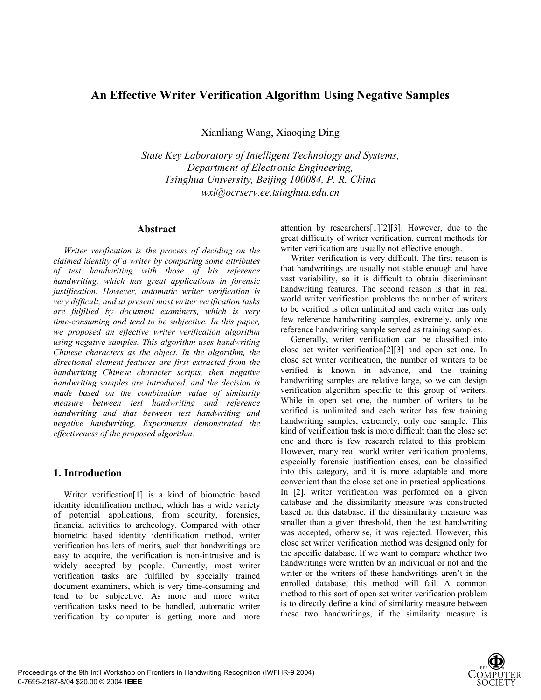## **An Effective Writer Verification Algorithm Using Negative Samples**

Xianliang Wang, Xiaoqing Ding

*State Key Laboratory of Intelligent Technology and Systems, Department of Electronic Engineering, Tsinghua University, Beijing 100084, P. R. China [wxl@ocrserv.ee.tsinghua.edu.cn](mailto:wxl@ocrserv.ee.tsinghua.edu.cn)*

## **Abstract**

*Writer verification is the process of deciding on the claimed identity of a writer by comparing some attributes of test handwriting with those of his reference handwriting, which has great applications in forensic justification. However, automatic writer verification is very difficult, and at present most writer verification tasks are fulfilled by document examiners, which is very time-consuming and tend to be subjective. In this paper, we proposed an effective writer verification algorithm using negative samples. This algorithm uses handwriting Chinese characters as the object. In the algorithm, the directional element features are first extracted from the handwriting Chinese character scripts, then negative handwriting samples are introduced, and the decision is made based on the combination value of similarity measure between test handwriting and reference handwriting and that between test handwriting and negative handwriting. Experiments demonstrated the effectiveness of the proposed algorithm.* 

## **1. Introduction**

Writer verificatio[n\[1\]](#page-4-0) is a kind of biometric based identity identification method, which has a wide variety of potential applications, from security, forensics, financial activities to archeology. Compared with other biometric based identity identification method, writer verification has lots of merits, such that handwritings are easy to acquire, the verification is non-intrusive and is widely accepted by people. Currently, most writer verification tasks are fulfilled by specially trained document examiners, which is very time-consuming and tend to be subjective. As more and more writer verification tasks need to be handled, automatic writer verification by computer is getting more and more

attention by researcher[s\[1\]](#page-4-0)[\[2\]](#page-4-1)[\[3\].](#page-4-2) However, due to the great difficulty of writer verification, current methods for writer verification are usually not effective enough.

Writer verification is very difficult. The first reason is that handwritings are usually not stable enough and have vast variability, so it is difficult to obtain discriminant handwriting features. The second reason is that in real world writer verification problems the number of writers to be verified is often unlimited and each writer has only few reference handwriting samples, extremely, only one reference handwriting sample served as training samples.

Generally, writer verification can be classified into close set writer verificatio[n\[2\]](#page-4-1)[\[3\]](#page-4-2) and open set one. In close set writer verification, the number of writers to be verified is known in advance, and the training handwriting samples are relative large, so we can design verification algorithm specific to this group of writers. While in open set one, the number of writers to be verified is unlimited and each writer has few training handwriting samples, extremely, only one sample. This kind of verification task is more difficult than the close set one and there is few research related to this problem. However, many real world writer verification problems, especially forensic justification cases, can be classified into this category, and it is more adaptable and more convenient than the close set one in practical applications. In [\[2\],](#page-4-1) writer verification was performed on a given database and the dissimilarity measure was constructed based on this database, if the dissimilarity measure was smaller than a given threshold, then the test handwriting was accepted, otherwise, it was rejected. However, this close set writer verification method was designed only for the specific database. If we want to compare whether two handwritings were written by an individual or not and the writer or the writers of these handwritings aren't in the enrolled database, this method will fail. A common method to this sort of open set writer verification problem is to directly define a kind of similarity measure between these two handwritings, if the similarity measure is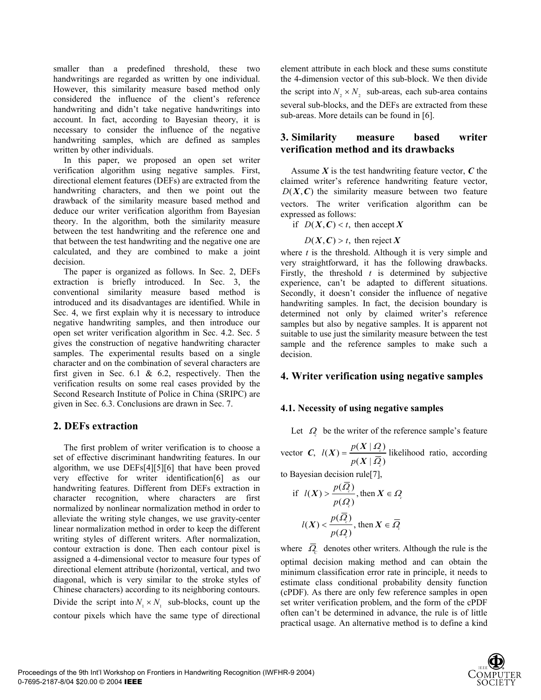smaller than a predefined threshold, these two handwritings are regarded as written by one individual. However, this similarity measure based method only considered the influence of the client's reference handwriting and didn't take negative handwritings into account. In fact, according to Bayesian theory, it is necessary to consider the influence of the negative handwriting samples, which are defined as samples written by other individuals.

In this paper, we proposed an open set writer verification algorithm using negative samples. First, directional element features (DEFs) are extracted from the handwriting characters, and then we point out the drawback of the similarity measure based method and deduce our writer verification algorithm from Bayesian theory. In the algorithm, both the similarity measure between the test handwriting and the reference one and that between the test handwriting and the negative one are calculated, and they are combined to make a joint decision.

The paper is organized as follows. In Sec. [2,](#page-1-0) DEFs extraction is briefly introduced. In Sec. [3,](#page-1-1) the conventional similarity measure based method is introduced and its disadvantages are identified. While in Sec. [4,](#page-1-2) we first explain why it is necessary to introduce negative handwriting samples, and then introduce our open set writer verification algorithm in Sec. [4.2.](#page-2-0) Sec. [5](#page-2-1)  gives the construction of negative handwriting character samples. The experimental results based on a single character and on the combination of several characters are first given in Sec. [6.1](#page-2-2) & [6.2,](#page-3-0) respectively. Then the verification results on some real cases provided by the Second Research Institute of Police in China (SRIPC) are given in Sec. [6.3.](#page-4-3) Conclusions are drawn in Sec. [7.](#page-4-4)

## <span id="page-1-0"></span>**2. DEFs extraction**

The first problem of writer verification is to choose a set of effective discriminant handwriting features. In our algorithm, we use DEF[s\[4\]](#page-4-5)[\[5\]](#page-4-6)[\[6\]](#page-4-7) that have been proved very effective for writer identificatio[n\[6\]](#page-4-7) as our handwriting features. Different from DEFs extraction in character recognition, where characters are first normalized by nonlinear normalization method in order to alleviate the writing style changes, we use gravity-center linear normalization method in order to keep the different writing styles of different writers. After normalization, contour extraction is done. Then each contour pixel is assigned a 4-dimensional vector to measure four types of directional element attribute (horizontal, vertical, and two diagonal, which is very similar to the stroke styles of Chinese characters) according to its neighboring contours. Divide the script into  $N_1 \times N_1$  sub-blocks, count up the contour pixels which have the same type of directional

element attribute in each block and these sums constitute the 4-dimension vector of this sub-block. We then divide the script into  $N_2 \times N_2$  sub-areas, each sub-area contains several sub-blocks, and the DEFs are extracted from these sub-areas. More details can be found in [\[6\].](#page-4-7)

## <span id="page-1-1"></span>**3. Similarity measure based writer verification method and its drawbacks**

Assume *X* is the test handwriting feature vector, *C* the claimed writer's reference handwriting feature vector,  $D(X, C)$  the similarity measure between two feature vectors. The writer verification algorithm can be expressed as follows:

if  $D(X, C) < t$ , then accept X

( , ) , then reject *D t* > *X C X*

where *t* is the threshold. Although it is very simple and very straightforward, it has the following drawbacks. Firstly, the threshold *t* is determined by subjective experience, can't be adapted to different situations. Secondly, it doesn't consider the influence of negative handwriting samples. In fact, the decision boundary is determined not only by claimed writer's reference samples but also by negative samples. It is apparent not suitable to use just the similarity measure between the test sample and the reference samples to make such a decision.

## <span id="page-1-2"></span>**4. Writer verification using negative samples**

## <span id="page-1-3"></span>**4.1. Necessity of using negative samples**

Let  $\Omega$  be the writer of the reference sample's feature

vector *C*,  $l(X) = \frac{p(X | \Omega_0)}{P}$  $(X|Q)$ *c*  $l(X) = \frac{p}{x}$ *p*  $X) = \frac{p(X | Q_{c})}{p(X | \overline{Q})}$ *X* likelihood ratio, according

to Bayesian decision rul[e\[7\],](#page-4-8)

if 
$$
l(X) > \frac{p(\overline{\Omega})}{p(\Omega)}
$$
, then  $X \in \Omega$ .  

$$
l(X) < \frac{p(\overline{\Omega})}{p(\Omega)}
$$
, then  $X \in \overline{\Omega}$ .

where  $\overline{Q}_c$  denotes other writers. Although the rule is the optimal decision making method and can obtain the minimum classification error rate in principle, it needs to estimate class conditional probability density function (cPDF). As there are only few reference samples in open set writer verification problem, and the form of the cPDF often can't be determined in advance, the rule is of little practical usage. An alternative method is to define a kind

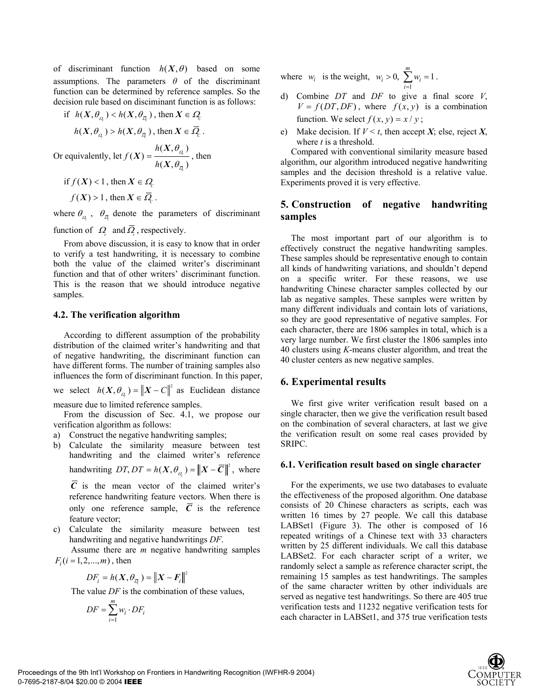of discriminant function  $h(X, \theta)$  based on some assumptions. The parameters  $\theta$  of the discriminant function can be determined by reference samples. So the decision rule based on disciminant function is as follows:

if 
$$
h(X, \theta_{\underline{\alpha}}) < h(X, \theta_{\overline{\underline{\alpha}}})
$$
, then  $X \in \Omega_c$   
\n $h(X, \theta_{\underline{\alpha}}) > h(X, \theta_{\overline{\underline{\alpha}}})$ , then  $X \in \overline{\Omega}_c$ .  
\nOr equivalently, let  $f(X) = \frac{h(X, \theta_{\underline{\alpha}})}{h(X, \theta_{\overline{\underline{\alpha}}})}$ , then

if 
$$
f(X) < 1
$$
, then  $X \in \Omega$ 

$$
f(X) > 1
$$
, then  $X \in \overline{\Omega}_c$ .

where  $\theta_{q}$ ,  $\theta_{\overline{q}}$  denote the parameters of discriminant

function of  $\Omega$  and  $\overline{Q}$ , respectively.

From above discussion, it is easy to know that in order to verify a test handwriting, it is necessary to combine both the value of the claimed writer's discriminant function and that of other writers' discriminant function. This is the reason that we should introduce negative samples.

#### <span id="page-2-0"></span>**4.2. The verification algorithm**

According to different assumption of the probability distribution of the claimed writer's handwriting and that of negative handwriting, the discriminant function can have different forms. The number of training samples also influences the form of discriminant function. In this paper,

we select  $h(X, \theta_{Q_{\epsilon}}) = ||X - C||^2$  as Euclidean distance measure due to limited reference samples.

From the discussion of Sec. [4.1,](#page-1-3) we propose our verification algorithm as follows:

- a) Construct the negative handwriting samples;
- b) Calculate the similarity measure between test handwriting and the claimed writer's reference handwriting  $DT, DT = h(X, \theta_{Q}) = ||X - \overline{C}||^2$ , where

 $\overline{C}$  is the mean vector of the claimed writer's reference handwriting feature vectors. When there is only one reference sample,  $\overline{C}$  is the reference feature vector;

c) Calculate the similarity measure between test handwriting and negative handwritings *DF*.

Assume there are *m* negative handwriting samples  $F_i (i = 1, 2, \ldots, m)$ , then

$$
DF_i = h(X, \theta_{\overline{a}_c}) = ||X - F_i||
$$

The value *DF* is the combination of these values,

$$
DF = \sum_{i=1}^{m} w_i \cdot DF_i
$$

where  $w_i$  is the weight,  $w_i > 0$ ,  $\sum w_i = 1$ . 1  $0, \sum w_i = 1$ *m*  $i > 0, \sum w_i$ *i*  $w_i > 0, \sum w_i$  $> 0, \sum_{i=1} w_i =$ 

- d) Combine *DT* and *DF* to give a final score *V*,  $V = f(DT, DF)$ , where  $f(x, y)$  is a combination function. We select  $f(x, y) = x / y$ ;
- e) Make decision. If  $V \leq t$ , then accept *X*; else, reject *X*, where *t* is a threshold.

Compared with conventional similarity measure based algorithm, our algorithm introduced negative handwriting samples and the decision threshold is a relative value. Experiments proved it is very effective.

## <span id="page-2-1"></span>**5. Construction of negative handwriting samples**

The most important part of our algorithm is to effectively construct the negative handwriting samples. These samples should be representative enough to contain all kinds of handwriting variations, and shouldn't depend on a specific writer. For these reasons, we use handwriting Chinese character samples collected by our lab as negative samples. These samples were written by many different individuals and contain lots of variations, so they are good representative of negative samples. For each character, there are 1806 samples in total, which is a very large number. We first cluster the 1806 samples into 40 clusters using *K*-means cluster algorithm, and treat the 40 cluster centers as new negative samples.

### **6. Experimental results**

We first give writer verification result based on a single character, then we give the verification result based on the combination of several characters, at last we give the verification result on some real cases provided by SRIPC.

#### <span id="page-2-2"></span>**6.1. Verification result based on single character**

For the experiments, we use two databases to evaluate the effectiveness of the proposed algorithm. One database consists of 20 Chinese characters as scripts, each was written 16 times by 27 people. We call this database LABSet1 [\(Figure 3\)](#page-4-9). The other is composed of 16 repeated writings of a Chinese text with 33 characters written by 25 different individuals. We call this database LABSet2. For each character script of a writer, we randomly select a sample as reference character script, the remaining 15 samples as test handwritings. The samples of the same character written by other individuals are served as negative test handwritings. So there are 405 true verification tests and 11232 negative verification tests for each character in LABSet1, and 375 true verification tests

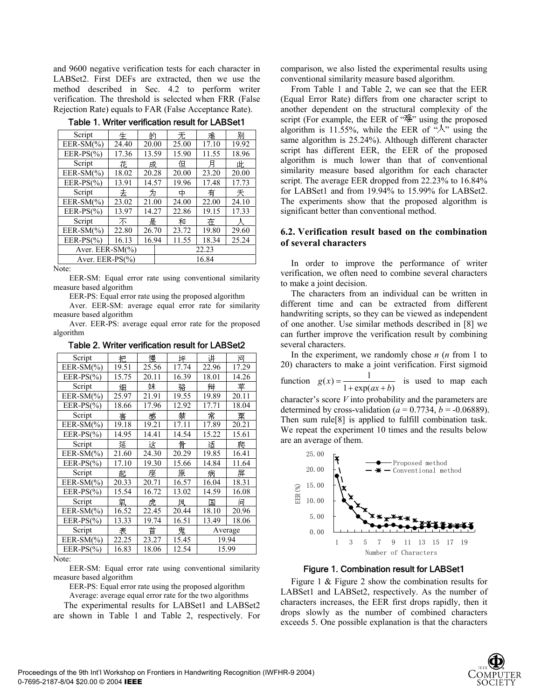and 9600 negative verification tests for each character in LABSet2. First DEFs are extracted, then we use the method described in Sec. [4.2](#page-2-0) to perform writer verification. The threshold is selected when FRR (False Rejection Rate) equals to FAR (False Acceptance Rate).

| Script               | 4     | 的     |       | 无     | 难     | 别     |
|----------------------|-------|-------|-------|-------|-------|-------|
| EER-SM $(\% )$       | 24.40 | 20.00 |       | 25.00 | 17.10 | 19.92 |
| EER-PS $(\%$         | 17.36 | 13.59 |       | 15.90 | 11.55 | 18.96 |
| Script               | 花     | 成     |       | 佃     | 月     | 此     |
| EER-SM $(\% )$       | 18.02 | 20.28 |       | 20.00 | 23.20 | 20.00 |
| EER-PS $(\%$         | 13.91 | 14.57 |       | 19.96 | 17.48 | 17.73 |
| Script               | 夫     | 为     |       | 中     | 有     | 夭     |
| EER-SM $(\%$         | 23.02 | 21.00 |       | 24.00 | 22.00 | 24.10 |
| EER-PS $(\% )$       | 13.97 | 14.27 |       | 22.86 | 19.15 | 17.33 |
| Script               | 不     | 是     |       | 和     | 在     |       |
| $EER-SM(\%)$         | 22.80 | 26.70 |       | 23.72 | 19.80 | 29.60 |
| EER-PS $(\%$         | 16.13 | 16.94 |       | 11.55 | 18.34 | 25.24 |
| Aver. EER-SM $(\% )$ |       |       | 22.23 |       |       |       |
| Aver. $EER-PS(%)$    |       |       | 16.84 |       |       |       |

<span id="page-3-1"></span>Table 1. Writer verification result for LABSet1

Note:

EER-SM: Equal error rate using conventional similarity measure based algorithm

EER-PS: Equal error rate using the proposed algorithm

Aver. EER-SM: average equal error rate for similarity measure based algorithm

Aver. EER-PS: average equal error rate for the proposed algorithm

<span id="page-3-2"></span>Table 2. Writer verification result for LABSet2

| Script         | 把     | 慢     | 坪     | 讲       | 河     |
|----------------|-------|-------|-------|---------|-------|
| $EER-SM(\%)$   | 19.51 | 25.56 | 17.74 | 22.96   | 17.29 |
| EER-PS $(\% )$ | 15.75 | 20.11 | 16.39 | 18.01   | 14.26 |
| Script         | 细     | 妹     | 骆     | 辩       | 莖     |
| $EER-SM(\%)$   | 25.97 | 21.91 | 19.55 | 19.89   | 20.11 |
| $EER-PS(%)$    | 18.66 | 17.96 | 12.92 | 17.71   | 18.04 |
| Script         | 害     | 感     | 禁     | 常       | 粟     |
| EER-SM $(\% )$ | 19.18 | 19.21 | 17.11 | 17.89   | 20.21 |
| $EER-PS(%)$    | 14.95 | 14.41 | 14.54 | 15.22   | 15.61 |
| Script         | 延     | ìх    | 骨     | 适       | 爬     |
| $EER-SM(\%)$   | 21.60 | 24.30 | 20.29 | 19.85   | 16.41 |
| EER-PS $(\%$   | 17.10 | 19.30 | 15.66 | 14.84   | 11.64 |
| Script         | 起     | 座     | 原     | 病       | 屖     |
| $EER-SM(\%)$   | 20.33 | 20.71 | 16.57 | 16.04   | 18.31 |
| $EER-PS(%)$    | 15.54 | 16.72 | 13.02 | 14.59   | 16.08 |
| Script         | 氧     | 虎     | 凤     | 国       | 问     |
| $EER-SM(\%)$   | 16.52 | 22.45 | 20.44 | 18.10   | 20.96 |
| $EER-PS(%)$    | 13.33 | 19.74 | 16.51 | 13.49   | 18.06 |
| Script         | 表     | 首     | 鬼     | Average |       |
| $EER-SM(\%)$   | 22.25 | 23.27 | 15.45 | 19.94   |       |
| $EER-PS(%)$    | 16.83 | 18.06 | 12.54 | 15.99   |       |

Note:

EER-SM: Equal error rate using conventional similarity measure based algorithm

EER-PS: Equal error rate using the proposed algorithm

Average: average equal error rate for the two algorithms The experimental results for LABSet1 and LABSet2 are shown in [Table 1](#page-3-1) and [Table 2,](#page-3-2) respectively. For comparison, we also listed the experimental results using conventional similarity measure based algorithm.

From [Table 1](#page-3-1) and [Table 2,](#page-3-2) we can see that the EER (Equal Error Rate) differs from one character script to another dependent on the structural complexity of the script (For example, the EER of " $\mathbb{R}$ " using the proposed algorithm is 11.55%, while the EER of  $\sqrt[n]{x}$  using the same algorithm is 25.24%). Although different character script has different EER, the EER of the proposed algorithm is much lower than that of conventional similarity measure based algorithm for each character script. The average EER dropped from 22.23% to 16.84% for LABSet1 and from 19.94% to 15.99% for LABSet2. The experiments show that the proposed algorithm is significant better than conventional method.

#### <span id="page-3-0"></span>**6.2. Verification result based on the combination of several characters**

In order to improve the performance of writer verification, we often need to combine several characters to make a joint decision.

The characters from an individual can be written in different time and can be extracted from different handwriting scripts, so they can be viewed as independent of one another. Use similar methods described in [\[8\]](#page-4-10) we can further improve the verification result by combining several characters.

In the experiment, we randomly chose *n* (*n* from 1 to 20) characters to make a joint verification. First sigmoid function  $g(x) = \frac{1}{1 + \exp(ax + b)}$  is used to map each character's score *V* into probability and the parameters are determined by cross-validation ( $a = 0.7734$ ,  $b = -0.06889$ ). Then sum rul[e\[8\]](#page-4-10) is applied to fulfill combination task. We repeat the experiment 10 times and the results below are an average of them.

<span id="page-3-3"></span>

Figure 1. Combination result for LABSet1

[Figure 1](#page-3-3) & [Figure 2](#page-4-11) show the combination results for LABSet1 and LABSet2, respectively. As the number of characters increases, the EER first drops rapidly, then it drops slowly as the number of combined characters exceeds 5. One possible explanation is that the characters